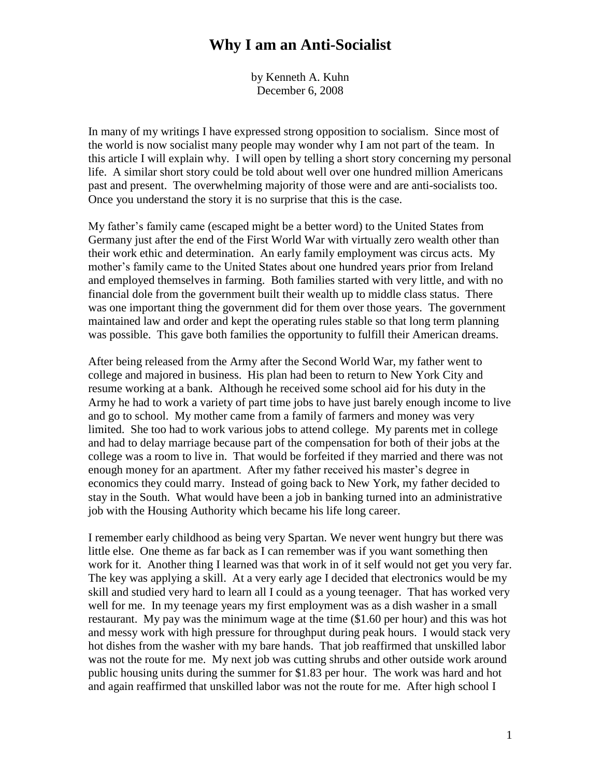by Kenneth A. Kuhn December 6, 2008

In many of my writings I have expressed strong opposition to socialism. Since most of the world is now socialist many people may wonder why I am not part of the team. In this article I will explain why. I will open by telling a short story concerning my personal life. A similar short story could be told about well over one hundred million Americans past and present. The overwhelming majority of those were and are anti-socialists too. Once you understand the story it is no surprise that this is the case.

My father's family came (escaped might be a better word) to the United States from Germany just after the end of the First World War with virtually zero wealth other than their work ethic and determination. An early family employment was circus acts. My mother's family came to the United States about one hundred years prior from Ireland and employed themselves in farming. Both families started with very little, and with no financial dole from the government built their wealth up to middle class status. There was one important thing the government did for them over those years. The government maintained law and order and kept the operating rules stable so that long term planning was possible. This gave both families the opportunity to fulfill their American dreams.

After being released from the Army after the Second World War, my father went to college and majored in business. His plan had been to return to New York City and resume working at a bank. Although he received some school aid for his duty in the Army he had to work a variety of part time jobs to have just barely enough income to live and go to school. My mother came from a family of farmers and money was very limited. She too had to work various jobs to attend college. My parents met in college and had to delay marriage because part of the compensation for both of their jobs at the college was a room to live in. That would be forfeited if they married and there was not enough money for an apartment. After my father received his master's degree in economics they could marry. Instead of going back to New York, my father decided to stay in the South. What would have been a job in banking turned into an administrative job with the Housing Authority which became his life long career.

I remember early childhood as being very Spartan. We never went hungry but there was little else. One theme as far back as I can remember was if you want something then work for it. Another thing I learned was that work in of it self would not get you very far. The key was applying a skill. At a very early age I decided that electronics would be my skill and studied very hard to learn all I could as a young teenager. That has worked very well for me. In my teenage years my first employment was as a dish washer in a small restaurant. My pay was the minimum wage at the time (\$1.60 per hour) and this was hot and messy work with high pressure for throughput during peak hours. I would stack very hot dishes from the washer with my bare hands. That job reaffirmed that unskilled labor was not the route for me. My next job was cutting shrubs and other outside work around public housing units during the summer for \$1.83 per hour. The work was hard and hot and again reaffirmed that unskilled labor was not the route for me. After high school I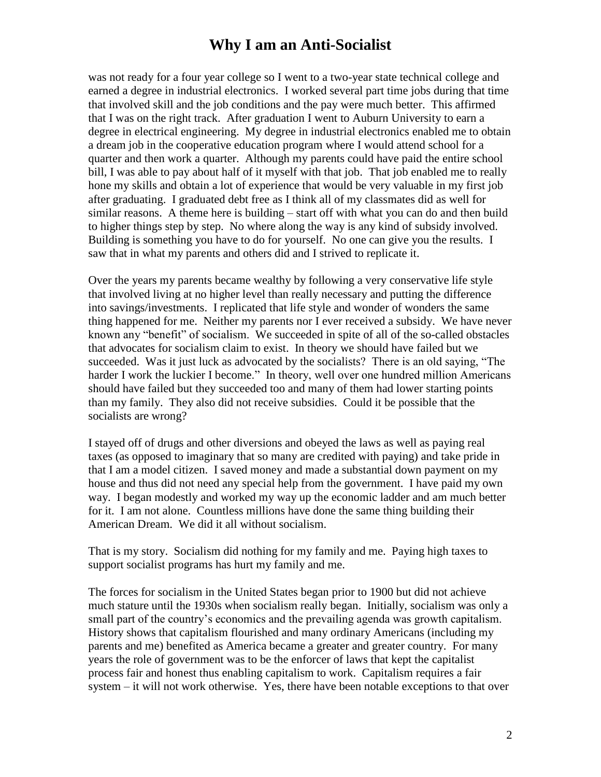was not ready for a four year college so I went to a two-year state technical college and earned a degree in industrial electronics. I worked several part time jobs during that time that involved skill and the job conditions and the pay were much better. This affirmed that I was on the right track. After graduation I went to Auburn University to earn a degree in electrical engineering. My degree in industrial electronics enabled me to obtain a dream job in the cooperative education program where I would attend school for a quarter and then work a quarter. Although my parents could have paid the entire school bill, I was able to pay about half of it myself with that job. That job enabled me to really hone my skills and obtain a lot of experience that would be very valuable in my first job after graduating. I graduated debt free as I think all of my classmates did as well for similar reasons. A theme here is building – start off with what you can do and then build to higher things step by step. No where along the way is any kind of subsidy involved. Building is something you have to do for yourself. No one can give you the results. I saw that in what my parents and others did and I strived to replicate it.

Over the years my parents became wealthy by following a very conservative life style that involved living at no higher level than really necessary and putting the difference into savings/investments. I replicated that life style and wonder of wonders the same thing happened for me. Neither my parents nor I ever received a subsidy. We have never known any "benefit" of socialism. We succeeded in spite of all of the so-called obstacles that advocates for socialism claim to exist. In theory we should have failed but we succeeded. Was it just luck as advocated by the socialists? There is an old saying, "The harder I work the luckier I become." In theory, well over one hundred million Americans should have failed but they succeeded too and many of them had lower starting points than my family. They also did not receive subsidies. Could it be possible that the socialists are wrong?

I stayed off of drugs and other diversions and obeyed the laws as well as paying real taxes (as opposed to imaginary that so many are credited with paying) and take pride in that I am a model citizen. I saved money and made a substantial down payment on my house and thus did not need any special help from the government. I have paid my own way. I began modestly and worked my way up the economic ladder and am much better for it. I am not alone. Countless millions have done the same thing building their American Dream. We did it all without socialism.

That is my story. Socialism did nothing for my family and me. Paying high taxes to support socialist programs has hurt my family and me.

The forces for socialism in the United States began prior to 1900 but did not achieve much stature until the 1930s when socialism really began. Initially, socialism was only a small part of the country's economics and the prevailing agenda was growth capitalism. History shows that capitalism flourished and many ordinary Americans (including my parents and me) benefited as America became a greater and greater country. For many years the role of government was to be the enforcer of laws that kept the capitalist process fair and honest thus enabling capitalism to work. Capitalism requires a fair system – it will not work otherwise. Yes, there have been notable exceptions to that over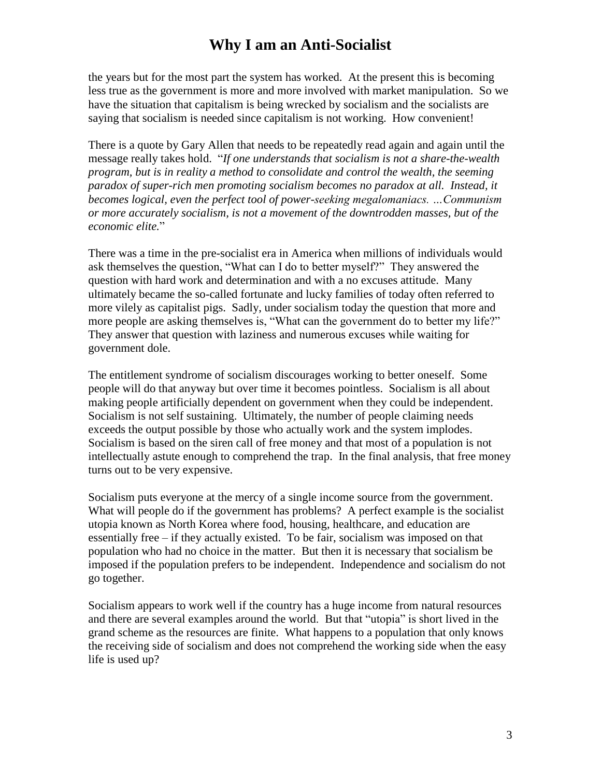the years but for the most part the system has worked. At the present this is becoming less true as the government is more and more involved with market manipulation. So we have the situation that capitalism is being wrecked by socialism and the socialists are saying that socialism is needed since capitalism is not working. How convenient!

There is a quote by Gary Allen that needs to be repeatedly read again and again until the message really takes hold. "*If one understands that socialism is not a share-the-wealth program, but is in reality a method to consolidate and control the wealth, the seeming paradox of super-rich men promoting socialism becomes no paradox at all. Instead, it becomes logical, even the perfect tool of power-seekingmegalomaniacs.…Communism or more accurately socialism, is not a movement of the downtrodden masses, but of the economic elite.*"

There was a time in the pre-socialist era in America when millions of individuals would ask themselves the question, "What can I do to better myself?" They answered the question with hard work and determination and with a no excuses attitude. Many ultimately became the so-called fortunate and lucky families of today often referred to more vilely as capitalist pigs. Sadly, under socialism today the question that more and more people are asking themselves is, "What can the government do to better my life?" They answer that question with laziness and numerous excuses while waiting for government dole.

The entitlement syndrome of socialism discourages working to better oneself. Some people will do that anyway but over time it becomes pointless. Socialism is all about making people artificially dependent on government when they could be independent. Socialism is not self sustaining. Ultimately, the number of people claiming needs exceeds the output possible by those who actually work and the system implodes. Socialism is based on the siren call of free money and that most of a population is not intellectually astute enough to comprehend the trap. In the final analysis, that free money turns out to be very expensive.

Socialism puts everyone at the mercy of a single income source from the government. What will people do if the government has problems? A perfect example is the socialist utopia known as North Korea where food, housing, healthcare, and education are essentially free – if they actually existed. To be fair, socialism was imposed on that population who had no choice in the matter. But then it is necessary that socialism be imposed if the population prefers to be independent. Independence and socialism do not go together.

Socialism appears to work well if the country has a huge income from natural resources and there are several examples around the world. But that "utopia" is short lived in the grand scheme as the resources are finite. What happens to a population that only knows the receiving side of socialism and does not comprehend the working side when the easy life is used up?